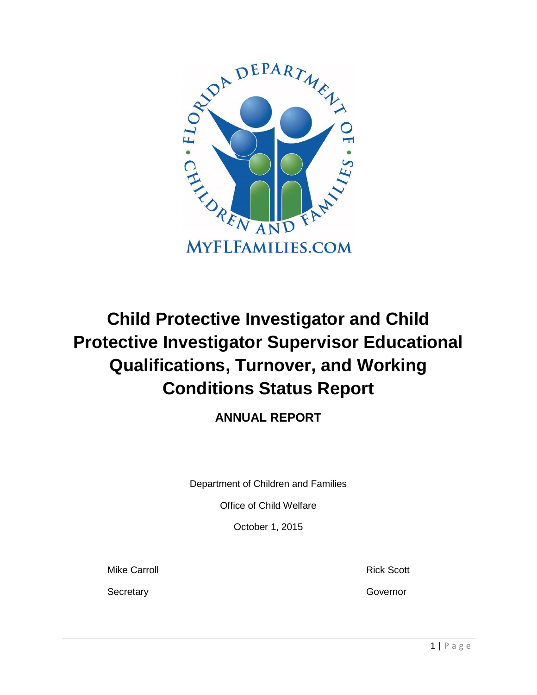

# **Child Protective Investigator and Child Protective Investigator Supervisor Educational Qualifications, Turnover, and Working Conditions Status Report**

# **ANNUAL REPORT**

Department of Children and Families

Office of Child Welfare

October 1, 2015

Mike Carroll **Mike Carroll Rick Scott** 

Secretary Governor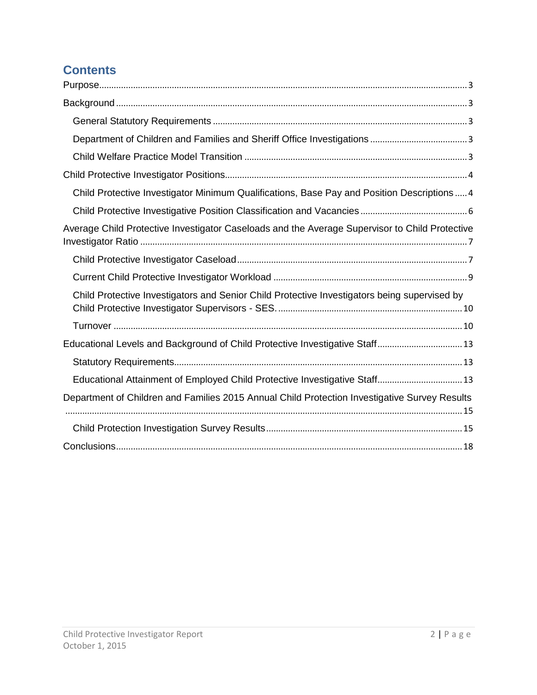# **Contents**

| Child Protective Investigator Minimum Qualifications, Base Pay and Position Descriptions 4     |
|------------------------------------------------------------------------------------------------|
|                                                                                                |
| Average Child Protective Investigator Caseloads and the Average Supervisor to Child Protective |
|                                                                                                |
|                                                                                                |
| Child Protective Investigators and Senior Child Protective Investigators being supervised by   |
|                                                                                                |
| Educational Levels and Background of Child Protective Investigative Staff 13                   |
|                                                                                                |
| Educational Attainment of Employed Child Protective Investigative Staff 13                     |
| Department of Children and Families 2015 Annual Child Protection Investigative Survey Results  |
|                                                                                                |
|                                                                                                |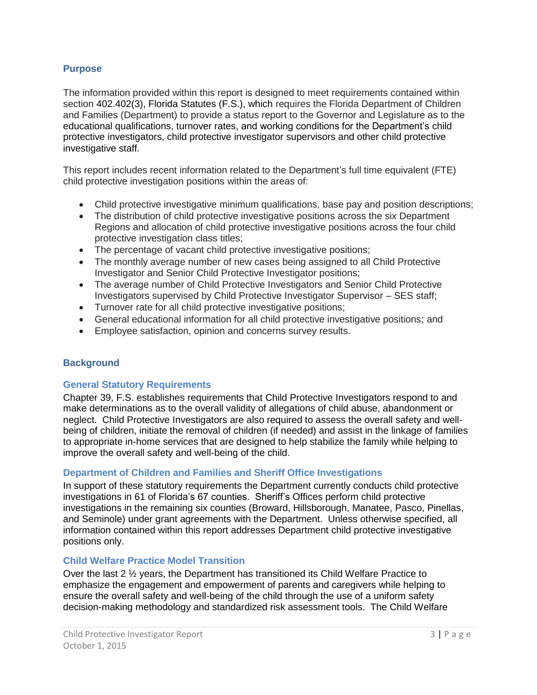#### <span id="page-2-0"></span>**Purpose**

The information provided within this report is designed to meet requirements contained within section 402.402(3), Florida Statutes (F.S.), which requires the Florida Department of Children and Families (Department) to provide a status report to the Governor and Legislature as to the educational qualifications, turnover rates, and working conditions for the Department's child protective investigators, child protective investigator supervisors and other child protective investigative staff*.*

This report includes recent information related to the Department's full time equivalent (FTE) child protective investigation positions within the areas of:

- Child protective investigative minimum qualifications, base pay and position descriptions;
- The distribution of child protective investigative positions across the six Department Regions and allocation of child protective investigative positions across the four child protective investigation class titles;
- The percentage of vacant child protective investigative positions;
- The monthly average number of new cases being assigned to all Child Protective Investigator and Senior Child Protective Investigator positions;
- The average number of Child Protective Investigators and Senior Child Protective Investigators supervised by Child Protective Investigator Supervisor – SES staff;
- Turnover rate for all child protective investigative positions;
- General educational information for all child protective investigative positions; and
- Employee satisfaction, opinion and concerns survey results.

#### <span id="page-2-1"></span>**Background**

#### <span id="page-2-2"></span>**General Statutory Requirements**

Chapter 39, F.S. establishes requirements that Child Protective Investigators respond to and make determinations as to the overall validity of allegations of child abuse, abandonment or neglect. Child Protective Investigators are also required to assess the overall safety and wellbeing of children, initiate the removal of children (if needed) and assist in the linkage of families to appropriate in-home services that are designed to help stabilize the family while helping to improve the overall safety and well-being of the child.

#### <span id="page-2-3"></span>**Department of Children and Families and Sheriff Office Investigations**

In support of these statutory requirements the Department currently conducts child protective investigations in 61 of Florida's 67 counties. Sheriff's Offices perform child protective investigations in the remaining six counties (Broward, Hillsborough, Manatee, Pasco, Pinellas, and Seminole) under grant agreements with the Department. Unless otherwise specified, all information contained within this report addresses Department child protective investigative positions only.

#### <span id="page-2-4"></span>**Child Welfare Practice Model Transition**

Over the last 2 ½ years, the Department has transitioned its Child Welfare Practice to emphasize the engagement and empowerment of parents and caregivers while helping to ensure the overall safety and well-being of the child through the use of a uniform safety decision-making methodology and standardized risk assessment tools. The Child Welfare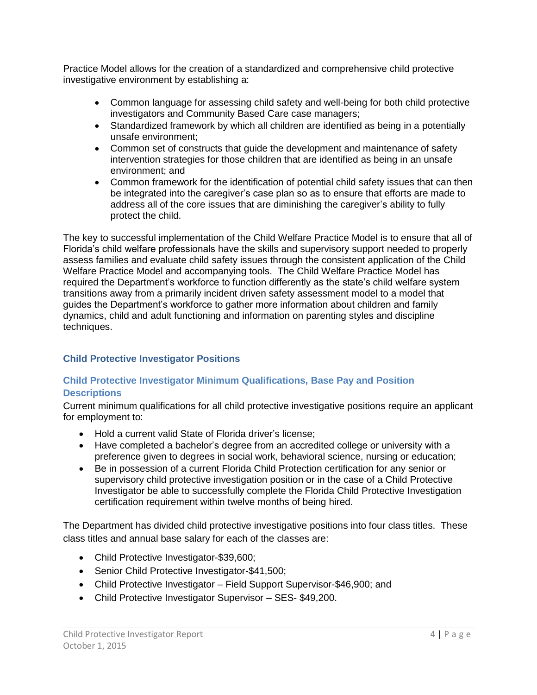Practice Model allows for the creation of a standardized and comprehensive child protective investigative environment by establishing a:

- Common language for assessing child safety and well-being for both child protective investigators and Community Based Care case managers;
- Standardized framework by which all children are identified as being in a potentially unsafe environment;
- Common set of constructs that guide the development and maintenance of safety intervention strategies for those children that are identified as being in an unsafe environment; and
- Common framework for the identification of potential child safety issues that can then be integrated into the caregiver's case plan so as to ensure that efforts are made to address all of the core issues that are diminishing the caregiver's ability to fully protect the child.

The key to successful implementation of the Child Welfare Practice Model is to ensure that all of Florida's child welfare professionals have the skills and supervisory support needed to properly assess families and evaluate child safety issues through the consistent application of the Child Welfare Practice Model and accompanying tools. The Child Welfare Practice Model has required the Department's workforce to function differently as the state's child welfare system transitions away from a primarily incident driven safety assessment model to a model that guides the Department's workforce to gather more information about children and family dynamics, child and adult functioning and information on parenting styles and discipline techniques.

# <span id="page-3-0"></span>**Child Protective Investigator Positions**

# <span id="page-3-1"></span>**Child Protective Investigator Minimum Qualifications, Base Pay and Position Descriptions**

Current minimum qualifications for all child protective investigative positions require an applicant for employment to:

- Hold a current valid State of Florida driver's license;
- Have completed a bachelor's degree from an accredited college or university with a preference given to degrees in social work, behavioral science, nursing or education;
- Be in possession of a current Florida Child Protection certification for any senior or supervisory child protective investigation position or in the case of a Child Protective Investigator be able to successfully complete the Florida Child Protective Investigation certification requirement within twelve months of being hired.

The Department has divided child protective investigative positions into four class titles. These class titles and annual base salary for each of the classes are:

- Child Protective Investigator-\$39,600;
- Senior Child Protective Investigator-\$41,500;
- Child Protective Investigator Field Support Supervisor-\$46,900; and
- Child Protective Investigator Supervisor SES- \$49,200.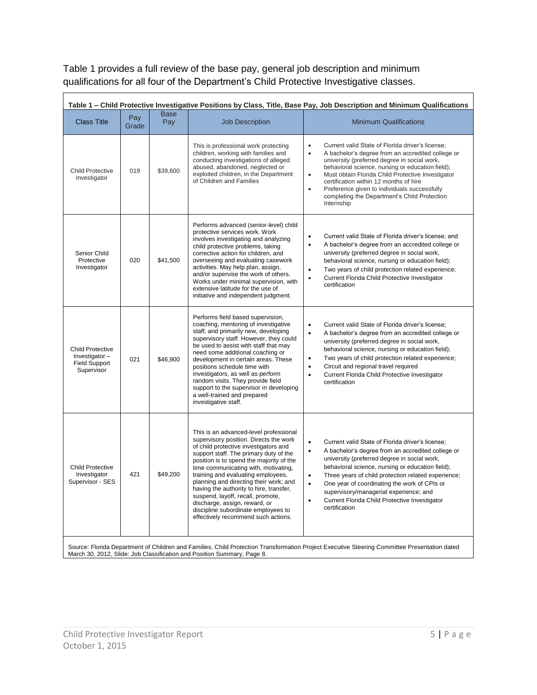Table 1 provides a full review of the base pay, general job description and minimum qualifications for all four of the Department's Child Protective Investigative classes.

|                                                                                |              |                    |                                                                                                                                                                                                                                                                                                                                                                                                                                                                                                                                        | Table 1 – Child Protective Investigative Positions by Class, Title, Base Pay, Job Description and Minimum Qualifications                                                                                                                                                                                                                                                                                                                                                                      |
|--------------------------------------------------------------------------------|--------------|--------------------|----------------------------------------------------------------------------------------------------------------------------------------------------------------------------------------------------------------------------------------------------------------------------------------------------------------------------------------------------------------------------------------------------------------------------------------------------------------------------------------------------------------------------------------|-----------------------------------------------------------------------------------------------------------------------------------------------------------------------------------------------------------------------------------------------------------------------------------------------------------------------------------------------------------------------------------------------------------------------------------------------------------------------------------------------|
| <b>Class Title</b>                                                             | Pay<br>Grade | <b>Base</b><br>Pay | <b>Job Description</b>                                                                                                                                                                                                                                                                                                                                                                                                                                                                                                                 | <b>Minimum Qualifications</b>                                                                                                                                                                                                                                                                                                                                                                                                                                                                 |
| <b>Child Protective</b><br>Investigator                                        | 019          | \$39,600           | This is professional work protecting<br>children, working with families and<br>conducting investigations of alleged<br>abused, abandoned, neglected or<br>exploited children, in the Department<br>of Children and Families                                                                                                                                                                                                                                                                                                            | Current valid State of Florida driver's license;<br>$\bullet$<br>$\bullet$<br>A bachelor's degree from an accredited college or<br>university (preferred degree in social work,<br>behavioral science, nursing or education field);<br>Must obtain Florida Child Protective Investigator<br>$\bullet$<br>certification within 12 months of hire<br>Preference given to individuals successfully<br>$\bullet$<br>completing the Department's Child Protection<br>Internship                    |
| Senior Child<br>Protective<br>Investigator                                     | 020          | \$41,500           | Performs advanced (senior-level) child<br>protective services work. Work<br>involves investigating and analyzing<br>child protective problems, taking<br>corrective action for children, and<br>overseeing and evaluating casework<br>activities. May help plan, assign,<br>and/or supervise the work of others.<br>Works under minimal supervision, with<br>extensive latitude for the use of<br>initiative and independent judgment.                                                                                                 | Current valid State of Florida driver's license: and<br>$\bullet$<br>A bachelor's degree from an accredited college or<br>$\bullet$<br>university (preferred degree in social work,<br>behavioral science, nursing or education field);<br>Two years of child protection related experience;<br>$\bullet$<br>Current Florida Child Protective Investigator<br>$\bullet$<br>certification                                                                                                      |
| <b>Child Protective</b><br>Investigator-<br><b>Field Support</b><br>Supervisor | 021          | \$46,900           | Performs field based supervision,<br>coaching, mentoring of investigative<br>staff, and primarily new, developing<br>supervisory staff. However, they could<br>be used to assist with staff that may<br>need some additional coaching or<br>development in certain areas. These<br>positions schedule time with<br>investigators, as well as perform<br>random visits. They provide field<br>support to the supervisor in developing<br>a well-trained and prepared<br>investigative staff.                                            | $\bullet$<br>Current valid State of Florida driver's license;<br>A bachelor's degree from an accredited college or<br>$\bullet$<br>university (preferred degree in social work,<br>behavioral science, nursing or education field);<br>Two years of child protection related experience;<br>$\bullet$<br>Circuit and regional travel required<br>$\bullet$<br>Current Florida Child Protective Investigator<br>$\bullet$<br>certification                                                     |
| <b>Child Protective</b><br>Investigator<br>Supervisor - SES                    | 421          | \$49,200           | This is an advanced-level professional<br>supervisory position. Directs the work<br>of child protective investigators and<br>support staff. The primary duty of the<br>position is to spend the majority of the<br>time communicating with, motivating,<br>training and evaluating employees,<br>planning and directing their work; and<br>having the authority to hire, transfer,<br>suspend, layoff, recall, promote,<br>discharge, assign, reward, or<br>discipline subordinate employees to<br>effectively recommend such actions. | Current valid State of Florida driver's license;<br>$\bullet$<br>A bachelor's degree from an accredited college or<br>$\bullet$<br>university (preferred degree in social work,<br>behavioral science, nursing or education field);<br>Three years of child protection related experience;<br>$\bullet$<br>One year of coordinating the work of CPIs or<br>$\bullet$<br>supervisory/managerial experience; and<br>Current Florida Child Protective Investigator<br>$\bullet$<br>certification |
|                                                                                |              |                    |                                                                                                                                                                                                                                                                                                                                                                                                                                                                                                                                        | Source: Florida Department of Children and Families, Child Protection Transformation Project Executive Steering Committee Presentation dated                                                                                                                                                                                                                                                                                                                                                  |

<span id="page-4-0"></span>Source: Florida Department of Children and Families, Child Protection Transformation Project Executive Steering Committee Presentation dated March 30, 2012, Slide: Job Classification and Position Summary, Page 8.

 $\blacksquare$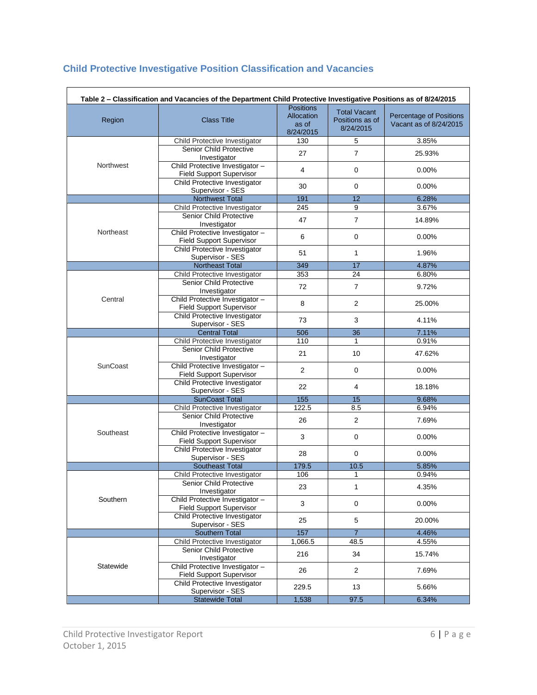# **Child Protective Investigative Position Classification and Vacancies**

|           | Table 2 - Classification and Vacancies of the Department Child Protective Investigative Positions as of 8/24/2015 | <b>Positions</b>                 |                                                     |                                                          |
|-----------|-------------------------------------------------------------------------------------------------------------------|----------------------------------|-----------------------------------------------------|----------------------------------------------------------|
| Region    | <b>Class Title</b>                                                                                                | Allocation<br>as of<br>8/24/2015 | <b>Total Vacant</b><br>Positions as of<br>8/24/2015 | <b>Percentage of Positions</b><br>Vacant as of 8/24/2015 |
|           | Child Protective Investigator                                                                                     | 130                              | 5                                                   | 3.85%                                                    |
|           | <b>Senior Child Protective</b><br>Investigator                                                                    | 27                               | $\overline{7}$                                      | 25.93%                                                   |
| Northwest | Child Protective Investigator -<br><b>Field Support Supervisor</b>                                                | 4                                | 0                                                   | 0.00%                                                    |
|           | Child Protective Investigator<br>Supervisor - SES                                                                 | 30                               | $\mathbf 0$                                         | 0.00%                                                    |
|           | Northwest Total                                                                                                   | 191                              | 12                                                  | 6.28%                                                    |
|           | Child Protective Investigator                                                                                     | 245                              | 9                                                   | 3.67%                                                    |
|           | Senior Child Protective<br>Investigator                                                                           | 47                               | $\overline{7}$                                      | 14.89%                                                   |
| Northeast | Child Protective Investigator -<br><b>Field Support Supervisor</b>                                                | 6                                | $\mathbf 0$                                         | 0.00%                                                    |
|           | Child Protective Investigator<br>Supervisor - SES                                                                 | 51                               | $\mathbf{1}$                                        | 1.96%                                                    |
|           | <b>Northeast Total</b>                                                                                            | 349                              | 17                                                  | 4.87%                                                    |
|           | Child Protective Investigator                                                                                     | 353                              | 24                                                  | 6.80%                                                    |
|           | Senior Child Protective<br>Investigator                                                                           | 72                               | $\overline{7}$                                      | 9.72%                                                    |
| Central   | Child Protective Investigator -<br><b>Field Support Supervisor</b>                                                | 8                                | 2                                                   | 25.00%                                                   |
|           | Child Protective Investigator<br>Supervisor - SES                                                                 | 73                               | 3                                                   | 4.11%                                                    |
|           | <b>Central Total</b>                                                                                              | 506                              | 36                                                  | 7.11%                                                    |
|           | Child Protective Investigator                                                                                     | 110                              | 1                                                   | 0.91%                                                    |
|           | <b>Senior Child Protective</b><br>Investigator                                                                    | 21                               | 10                                                  | 47.62%                                                   |
| SunCoast  | Child Protective Investigator -<br><b>Field Support Supervisor</b>                                                | $\overline{2}$                   | 0                                                   | 0.00%                                                    |
|           | Child Protective Investigator<br>Supervisor - SES                                                                 | 22                               | 4                                                   | 18.18%                                                   |
|           | <b>SunCoast Total</b>                                                                                             | 155                              | $\overline{15}$                                     | 9.68%                                                    |
|           | Child Protective Investigator                                                                                     | 122.5                            | 8.5                                                 | 6.94%                                                    |
|           | <b>Senior Child Protective</b><br>Investigator                                                                    | 26                               | 2                                                   | 7.69%                                                    |
| Southeast | Child Protective Investigator -<br><b>Field Support Supervisor</b>                                                | 3                                | $\mathbf 0$                                         | 0.00%                                                    |
|           | Child Protective Investigator<br>Supervisor - SES                                                                 | 28                               | 0                                                   | 0.00%                                                    |
|           | <b>Southeast Total</b>                                                                                            | 179.5                            | 10.5                                                | 5.85%                                                    |
|           | Child Protective Investigator                                                                                     | 106                              | 1                                                   | 0.94%                                                    |
|           | Senior Child Protective<br>Investigator                                                                           | 23                               | 1                                                   | 4.35%                                                    |
| Southern  | Child Protective Investigator -<br><b>Field Support Supervisor</b>                                                | 3                                | $\mathbf 0$                                         | 0.00%                                                    |
|           | Child Protective Investigator<br>Supervisor - SES                                                                 | 25                               | 5                                                   | 20.00%                                                   |
|           | Southern Total                                                                                                    | 157                              | $\overline{7}$                                      | 4.46%                                                    |
|           | Child Protective Investigator                                                                                     | 1,066.5                          | 48.5                                                | 4.55%                                                    |
|           | Senior Child Protective<br>Investigator                                                                           | 216                              | 34                                                  | 15.74%                                                   |
| Statewide | Child Protective Investigator-<br><b>Field Support Supervisor</b>                                                 | 26                               | 2                                                   | 7.69%                                                    |
|           | Child Protective Investigator<br>Supervisor - SES                                                                 | 229.5                            | 13                                                  | 5.66%                                                    |
|           | <b>Statewide Total</b>                                                                                            | 1,538                            | 97.5                                                | 6.34%                                                    |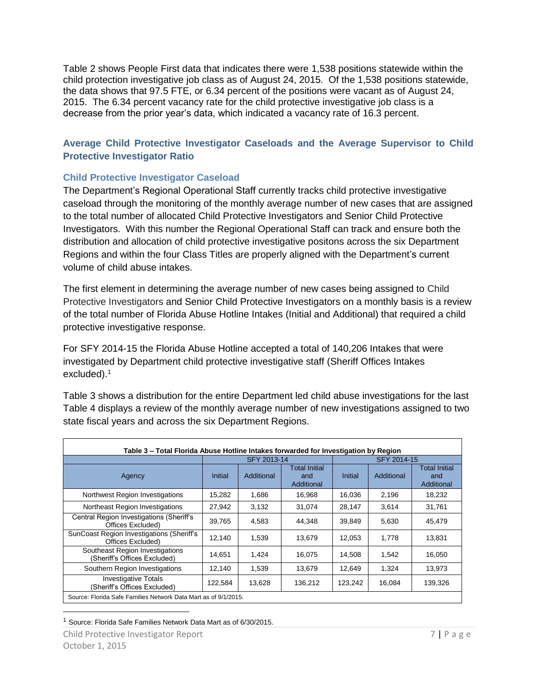Table 2 shows People First data that indicates there were 1,538 positions statewide within the child protection investigative job class as of August 24, 2015. Of the 1,538 positions statewide, the data shows that 97.5 FTE, or 6.34 percent of the positions were vacant as of August 24, 2015. The 6.34 percent vacancy rate for the child protective investigative job class is a decrease from the prior year's data, which indicated a vacancy rate of 16.3 percent.

# <span id="page-6-0"></span>**Average Child Protective Investigator Caseloads and the Average Supervisor to Child Protective Investigator Ratio**

# <span id="page-6-1"></span>**Child Protective Investigator Caseload**

The Department's Regional Operational Staff currently tracks child protective investigative caseload through the monitoring of the monthly average number of new cases that are assigned to the total number of allocated Child Protective Investigators and Senior Child Protective Investigators. With this number the Regional Operational Staff can track and ensure both the distribution and allocation of child protective investigative positons across the six Department Regions and within the four Class Titles are properly aligned with the Department's current volume of child abuse intakes.

The first element in determining the average number of new cases being assigned to Child Protective Investigators and Senior Child Protective Investigators on a monthly basis is a review of the total number of Florida Abuse Hotline Intakes (Initial and Additional) that required a child protective investigative response.

For SFY 2014-15 the Florida Abuse Hotline accepted a total of 140,206 Intakes that were investigated by Department child protective investigative staff (Sheriff Offices Intakes excluded). 1

Table 3 shows a distribution for the entire Department led child abuse investigations for the last Table 4 displays a review of the monthly average number of new investigations assigned to two state fiscal years and across the six Department Regions.

| Table 3 – Total Florida Abuse Hotline Intakes forwarded for Investigation by Region |         |             |                                    |                |             |                                    |  |  |  |  |  |
|-------------------------------------------------------------------------------------|---------|-------------|------------------------------------|----------------|-------------|------------------------------------|--|--|--|--|--|
|                                                                                     |         | SFY 2013-14 |                                    |                | SFY 2014-15 |                                    |  |  |  |  |  |
| Agency                                                                              | Initial | Additional  | Total Initial<br>and<br>Additional | <b>Initial</b> | Additional  | Total Initial<br>and<br>Additional |  |  |  |  |  |
| Northwest Region Investigations                                                     | 15,282  | 1,686       | 16,968                             | 16,036         | 2,196       | 18,232                             |  |  |  |  |  |
| Northeast Region Investigations                                                     | 27,942  | 3,132       | 31,074                             | 28,147         | 3.614       | 31,761                             |  |  |  |  |  |
| Central Region Investigations (Sheriff's<br>Offices Excluded)                       | 39,765  | 4,583       | 44,348                             | 39,849         | 5,630       | 45,479                             |  |  |  |  |  |
| SunCoast Region Investigations (Sheriff's<br>Offices Excluded)                      | 12,140  | 1.539       | 13,679                             | 12,053         | 1.778       | 13,831                             |  |  |  |  |  |
| Southeast Region Investigations<br>(Sheriff's Offices Excluded)                     | 14,651  | 1,424       | 16,075                             | 14,508         | 1,542       | 16,050                             |  |  |  |  |  |
| Southern Region Investigations                                                      | 12,140  | 1,539       | 13,679                             | 12,649         | 1.324       | 13,973                             |  |  |  |  |  |
| <b>Investigative Totals</b><br>(Sheriff's Offices Excluded)                         | 122,584 | 13,628      | 136,212                            | 123,242        | 16,084      | 139,326                            |  |  |  |  |  |
| Source: Florida Safe Families Network Data Mart as of 9/1/2015.                     |         |             |                                    |                |             |                                    |  |  |  |  |  |

 $\overline{a}$ <sup>1</sup> Source: Florida Safe Families Network Data Mart as of 6/30/2015.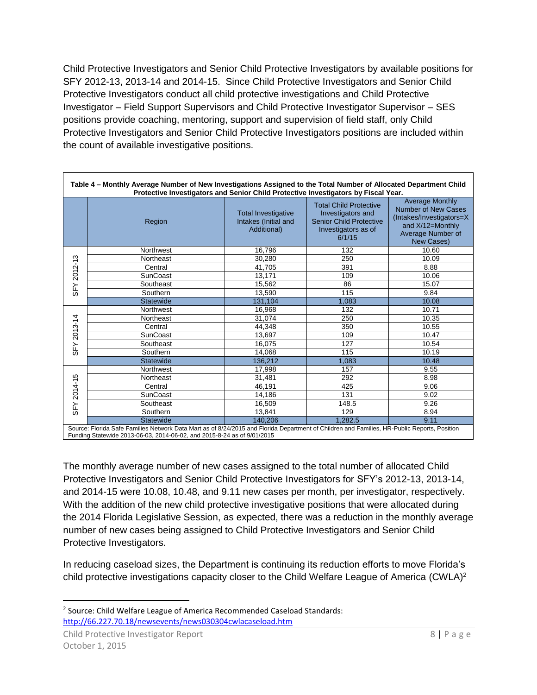Child Protective Investigators and Senior Child Protective Investigators by available positions for SFY 2012-13, 2013-14 and 2014-15. Since Child Protective Investigators and Senior Child Protective Investigators conduct all child protective investigations and Child Protective Investigator – Field Support Supervisors and Child Protective Investigator Supervisor – SES positions provide coaching, mentoring, support and supervision of field staff, only Child Protective Investigators and Senior Child Protective Investigators positions are included within the count of available investigative positions.

| Protective Investigators and Senior Child Protective Investigators by Fiscal Year.<br>Northwest | <b>Total Investigative</b><br>Intakes (Initial and<br>Additional) | <b>Total Child Protective</b><br>Investigators and<br><b>Senior Child Protective</b><br>Investigators as of<br>6/1/15 | <b>Average Monthly</b><br>Number of New Cases<br>(Intakes/Investigators=X<br>and X/12=Monthly<br>Average Number of                           |
|-------------------------------------------------------------------------------------------------|-------------------------------------------------------------------|-----------------------------------------------------------------------------------------------------------------------|----------------------------------------------------------------------------------------------------------------------------------------------|
|                                                                                                 |                                                                   |                                                                                                                       | New Cases)                                                                                                                                   |
|                                                                                                 | 16,796                                                            | 132                                                                                                                   | 10.60                                                                                                                                        |
| Northeast                                                                                       | 30.280                                                            | 250                                                                                                                   | 10.09                                                                                                                                        |
|                                                                                                 | 41,705                                                            | 391                                                                                                                   | 8.88                                                                                                                                         |
| SunCoast                                                                                        | 13,171                                                            | 109                                                                                                                   | 10.06                                                                                                                                        |
| Southeast                                                                                       | 15,562                                                            | 86                                                                                                                    | 15.07                                                                                                                                        |
| Southern                                                                                        | 13,590                                                            | 115                                                                                                                   | 9.84                                                                                                                                         |
| <b>Statewide</b>                                                                                | 131,104                                                           | 1,083                                                                                                                 | 10.08                                                                                                                                        |
| Northwest                                                                                       | 16,968                                                            | 132                                                                                                                   | 10.71                                                                                                                                        |
| Northeast                                                                                       | 31,074                                                            | 250                                                                                                                   | 10.35                                                                                                                                        |
|                                                                                                 | 44,348                                                            | 350                                                                                                                   | 10.55                                                                                                                                        |
| SunCoast                                                                                        | 13,697                                                            | 109                                                                                                                   | 10.47                                                                                                                                        |
| Southeast                                                                                       | 16,075                                                            | 127                                                                                                                   | 10.54                                                                                                                                        |
| Southern                                                                                        | 14.068                                                            | 115                                                                                                                   | 10.19                                                                                                                                        |
| <b>Statewide</b>                                                                                | 136,212                                                           | 1.083                                                                                                                 | 10.48                                                                                                                                        |
| Northwest                                                                                       | 17,998                                                            | 157                                                                                                                   | 9.55                                                                                                                                         |
| Northeast                                                                                       | 31,481                                                            | 292                                                                                                                   | 8.98                                                                                                                                         |
|                                                                                                 | 46,191                                                            | 425                                                                                                                   | 9.06                                                                                                                                         |
| <b>SunCoast</b>                                                                                 | 14,186                                                            | 131                                                                                                                   | 9.02                                                                                                                                         |
| Southeast                                                                                       | 16,509                                                            | 148.5                                                                                                                 | 9.26                                                                                                                                         |
| Southern                                                                                        | 13,841                                                            | 129                                                                                                                   | 8.94                                                                                                                                         |
|                                                                                                 | 140.206                                                           | 1,282.5                                                                                                               | 9.11                                                                                                                                         |
|                                                                                                 | Statewide                                                         |                                                                                                                       | Source: Florida Safe Families Network Data Mart as of 8/24/2015 and Florida Department of Children and Families, HR-Public Reports, Position |

The monthly average number of new cases assigned to the total number of allocated Child Protective Investigators and Senior Child Protective Investigators for SFY's 2012-13, 2013-14, and 2014-15 were 10.08, 10.48, and 9.11 new cases per month, per investigator, respectively. With the addition of the new child protective investigative positions that were allocated during the 2014 Florida Legislative Session, as expected, there was a reduction in the monthly average number of new cases being assigned to Child Protective Investigators and Senior Child Protective Investigators.

In reducing caseload sizes, the Department is continuing its reduction efforts to move Florida's child protective investigations capacity closer to the Child Welfare League of America (CWLA)<sup>2</sup>

 $\overline{\phantom{a}}$ 

<sup>&</sup>lt;sup>2</sup> Source: Child Welfare League of America Recommended Caseload Standards: <http://66.227.70.18/newsevents/news030304cwlacaseload.htm>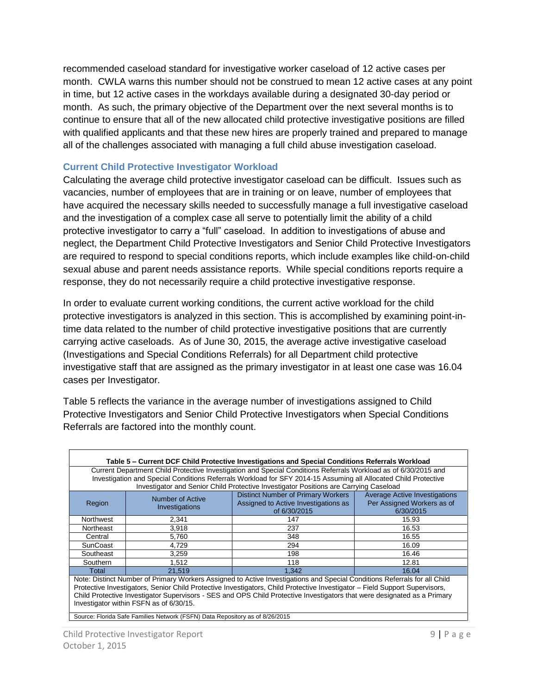recommended caseload standard for investigative worker caseload of 12 active cases per month. CWLA warns this number should not be construed to mean 12 active cases at any point in time, but 12 active cases in the workdays available during a designated 30-day period or month. As such, the primary objective of the Department over the next several months is to continue to ensure that all of the new allocated child protective investigative positions are filled with qualified applicants and that these new hires are properly trained and prepared to manage all of the challenges associated with managing a full child abuse investigation caseload.

#### <span id="page-8-0"></span>**Current Child Protective Investigator Workload**

Calculating the average child protective investigator caseload can be difficult. Issues such as vacancies, number of employees that are in training or on leave, number of employees that have acquired the necessary skills needed to successfully manage a full investigative caseload and the investigation of a complex case all serve to potentially limit the ability of a child protective investigator to carry a "full" caseload. In addition to investigations of abuse and neglect, the Department Child Protective Investigators and Senior Child Protective Investigators are required to respond to special conditions reports, which include examples like child-on-child sexual abuse and parent needs assistance reports. While special conditions reports require a response, they do not necessarily require a child protective investigative response.

In order to evaluate current working conditions, the current active workload for the child protective investigators is analyzed in this section. This is accomplished by examining point-intime data related to the number of child protective investigative positions that are currently carrying active caseloads. As of June 30, 2015, the average active investigative caseload (Investigations and Special Conditions Referrals) for all Department child protective investigative staff that are assigned as the primary investigator in at least one case was 16.04 cases per Investigator.

Table 5 reflects the variance in the average number of investigations assigned to Child Protective Investigators and Senior Child Protective Investigators when Special Conditions Referrals are factored into the monthly count.

| Table 5 – Current DCF Child Protective Investigations and Special Conditions Referrals Workload<br>Current Department Child Protective Investigation and Special Conditions Referrals Workload as of 6/30/2015 and<br>Investigation and Special Conditions Referrals Workload for SFY 2014-15 Assuming all Allocated Child Protective<br>Investigator and Senior Child Protective Investigator Positions are Carrying Caseload |                                         |                                                                                                                                                                                                                                                                                                                                                                                      |       |  |  |  |  |  |  |  |
|--------------------------------------------------------------------------------------------------------------------------------------------------------------------------------------------------------------------------------------------------------------------------------------------------------------------------------------------------------------------------------------------------------------------------------|-----------------------------------------|--------------------------------------------------------------------------------------------------------------------------------------------------------------------------------------------------------------------------------------------------------------------------------------------------------------------------------------------------------------------------------------|-------|--|--|--|--|--|--|--|
| <b>Distinct Number of Primary Workers</b><br><b>Average Active Investigations</b><br>Number of Active<br>Assigned to Active Investigations as<br>Per Assigned Workers as of<br>Region<br>Investigations<br>of 6/30/2015<br>6/30/2015                                                                                                                                                                                           |                                         |                                                                                                                                                                                                                                                                                                                                                                                      |       |  |  |  |  |  |  |  |
| Northwest                                                                                                                                                                                                                                                                                                                                                                                                                      | 2,341                                   | 147                                                                                                                                                                                                                                                                                                                                                                                  | 15.93 |  |  |  |  |  |  |  |
| Northeast                                                                                                                                                                                                                                                                                                                                                                                                                      | 3,918<br>237<br>16.53                   |                                                                                                                                                                                                                                                                                                                                                                                      |       |  |  |  |  |  |  |  |
| Central                                                                                                                                                                                                                                                                                                                                                                                                                        | 5,760                                   | 348                                                                                                                                                                                                                                                                                                                                                                                  | 16.55 |  |  |  |  |  |  |  |
| SunCoast                                                                                                                                                                                                                                                                                                                                                                                                                       | 4.729                                   | 294                                                                                                                                                                                                                                                                                                                                                                                  | 16.09 |  |  |  |  |  |  |  |
| Southeast                                                                                                                                                                                                                                                                                                                                                                                                                      | 3.259                                   | 198                                                                                                                                                                                                                                                                                                                                                                                  | 16.46 |  |  |  |  |  |  |  |
| Southern                                                                                                                                                                                                                                                                                                                                                                                                                       | 1.512                                   | 118                                                                                                                                                                                                                                                                                                                                                                                  | 12.81 |  |  |  |  |  |  |  |
| Total                                                                                                                                                                                                                                                                                                                                                                                                                          | 21.519                                  | 1.342                                                                                                                                                                                                                                                                                                                                                                                | 16.04 |  |  |  |  |  |  |  |
|                                                                                                                                                                                                                                                                                                                                                                                                                                | Investigator within FSFN as of 6/30/15. | Note: Distinct Number of Primary Workers Assigned to Active Investigations and Special Conditions Referrals for all Child<br>Protective Investigators, Senior Child Protective Investigators, Child Protective Investigator - Field Support Supervisors,<br>Child Protective Investigator Supervisors - SES and OPS Child Protective Investigators that were designated as a Primary |       |  |  |  |  |  |  |  |

Source: Florida Safe Families Network (FSFN) Data Repository as of 8/26/2015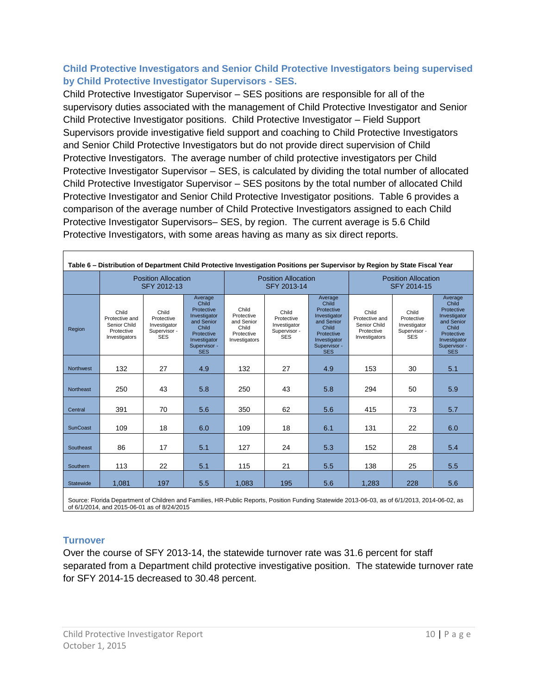# <span id="page-9-0"></span>**Child Protective Investigators and Senior Child Protective Investigators being supervised by Child Protective Investigator Supervisors - SES.**

Child Protective Investigator Supervisor – SES positions are responsible for all of the supervisory duties associated with the management of Child Protective Investigator and Senior Child Protective Investigator positions. Child Protective Investigator – Field Support Supervisors provide investigative field support and coaching to Child Protective Investigators and Senior Child Protective Investigators but do not provide direct supervision of Child Protective Investigators. The average number of child protective investigators per Child Protective Investigator Supervisor – SES, is calculated by dividing the total number of allocated Child Protective Investigator Supervisor – SES positons by the total number of allocated Child Protective Investigator and Senior Child Protective Investigator positions. Table 6 provides a comparison of the average number of Child Protective Investigators assigned to each Child Protective Investigator Supervisors– SES, by region. The current average is 5.6 Child Protective Investigators, with some areas having as many as six direct reports.

<span id="page-9-1"></span>

| Table 6 – Distribution of Department Child Protective Investigation Positions per Supervisor by Region by State Fiscal Year |                                                                        |                                                                   |                                                                                                                                   |                                                                           |                                                                   |                                                                                                                                   |                                                                        |                                                                   |                                                                                                                                   |  |  |
|-----------------------------------------------------------------------------------------------------------------------------|------------------------------------------------------------------------|-------------------------------------------------------------------|-----------------------------------------------------------------------------------------------------------------------------------|---------------------------------------------------------------------------|-------------------------------------------------------------------|-----------------------------------------------------------------------------------------------------------------------------------|------------------------------------------------------------------------|-------------------------------------------------------------------|-----------------------------------------------------------------------------------------------------------------------------------|--|--|
|                                                                                                                             |                                                                        | <b>Position Allocation</b><br>SFY 2012-13                         |                                                                                                                                   |                                                                           | <b>Position Allocation</b><br>SFY 2013-14                         |                                                                                                                                   | <b>Position Allocation</b><br>SFY 2014-15                              |                                                                   |                                                                                                                                   |  |  |
| Region                                                                                                                      | Child<br>Protective and<br>Senior Child<br>Protective<br>Investigators | Child<br>Protective<br>Investigator<br>Supervisor -<br><b>SES</b> | Average<br>Child<br>Protective<br>Investigator<br>and Senior<br>Child<br>Protective<br>Investigator<br>Supervisor -<br><b>SES</b> | Child<br>Protective<br>and Senior<br>Child<br>Protective<br>Investigators | Child<br>Protective<br>Investigator<br>Supervisor -<br><b>SES</b> | Average<br>Child<br>Protective<br>Investigator<br>and Senior<br>Child<br>Protective<br>Investigator<br>Supervisor -<br><b>SES</b> | Child<br>Protective and<br>Senior Child<br>Protective<br>Investigators | Child<br>Protective<br>Investigator<br>Supervisor -<br><b>SES</b> | Average<br>Child<br>Protective<br>Investigator<br>and Senior<br>Child<br>Protective<br>Investigator<br>Supervisor -<br><b>SES</b> |  |  |
| <b>Northwest</b>                                                                                                            | 132                                                                    | 27                                                                | 4.9                                                                                                                               | 132                                                                       | 27                                                                | 4.9                                                                                                                               | 153                                                                    | 30                                                                | 5.1                                                                                                                               |  |  |
| <b>Northeast</b>                                                                                                            | 250                                                                    | 43                                                                | 5.8                                                                                                                               | 250                                                                       | 43                                                                | 5.8                                                                                                                               | 294                                                                    | 50                                                                | 5.9                                                                                                                               |  |  |
| Central                                                                                                                     | 391                                                                    | 70                                                                | 5.6                                                                                                                               | 350                                                                       | 62                                                                | 5.6                                                                                                                               | 415                                                                    | 73                                                                | 5.7                                                                                                                               |  |  |
| <b>SunCoast</b>                                                                                                             | 109                                                                    | 18                                                                | 6.0                                                                                                                               | 109                                                                       | 18                                                                | 6.1                                                                                                                               | 131                                                                    | 22                                                                | 6.0                                                                                                                               |  |  |
| Southeast                                                                                                                   | 86                                                                     | 17                                                                | 5.1                                                                                                                               | 127                                                                       | 24                                                                | 5.3                                                                                                                               | 152                                                                    | 28                                                                | 5.4                                                                                                                               |  |  |
| Southern                                                                                                                    | 113                                                                    | 22                                                                | 5.1                                                                                                                               | 115                                                                       | 21                                                                | 5.5                                                                                                                               | 138                                                                    | 25                                                                | 5.5                                                                                                                               |  |  |
| Statewide                                                                                                                   | 1.081                                                                  | 197                                                               | 5.5                                                                                                                               | 1,083                                                                     | 195                                                               | 5.6                                                                                                                               | 1,283                                                                  | 228                                                               | 5.6                                                                                                                               |  |  |
|                                                                                                                             |                                                                        |                                                                   |                                                                                                                                   |                                                                           |                                                                   |                                                                                                                                   |                                                                        |                                                                   |                                                                                                                                   |  |  |

Source: Florida Department of Children and Families, HR-Public Reports, Position Funding Statewide 2013-06-03, as of 6/1/2013, 2014-06-02, as of 6/1/2014, and 2015-06-01 as of 8/24/2015

## **Turnover**

Over the course of SFY 2013-14, the statewide turnover rate was 31.6 percent for staff separated from a Department child protective investigative position. The statewide turnover rate for SFY 2014-15 decreased to 30.48 percent.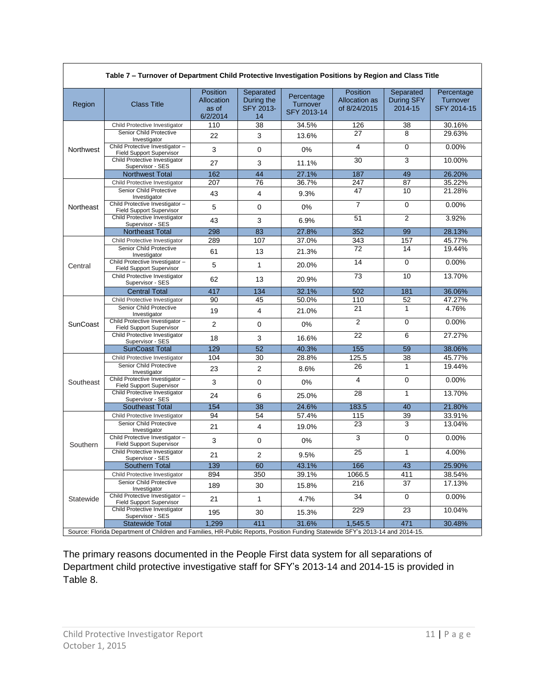| Table 7 – Turnover of Department Child Protective Investigation Positions by Region and Class Title |                                                                                                                               |                                                    |                                            |                                       |                                                         |                                    |                                              |  |  |  |
|-----------------------------------------------------------------------------------------------------|-------------------------------------------------------------------------------------------------------------------------------|----------------------------------------------------|--------------------------------------------|---------------------------------------|---------------------------------------------------------|------------------------------------|----------------------------------------------|--|--|--|
| Region                                                                                              | <b>Class Title</b>                                                                                                            | <b>Position</b><br>Allocation<br>as of<br>6/2/2014 | Separated<br>During the<br>SFY 2013-<br>14 | Percentage<br>Turnover<br>SFY 2013-14 | <b>Position</b><br><b>Allocation as</b><br>of 8/24/2015 | Separated<br>During SFY<br>2014-15 | Percentage<br>Turnover<br><b>SFY 2014-15</b> |  |  |  |
|                                                                                                     | Child Protective Investigator                                                                                                 | 110                                                | 38                                         | 34.5%                                 | 126                                                     | 38                                 | 30.16%                                       |  |  |  |
|                                                                                                     | Senior Child Protective<br>Investigator                                                                                       | 22                                                 | 3                                          | 13.6%                                 | 27                                                      | 8                                  | 29.63%                                       |  |  |  |
| Northwest                                                                                           | Child Protective Investigator -<br><b>Field Support Supervisor</b>                                                            | 3                                                  | $\mathbf 0$                                | 0%                                    | $\overline{4}$                                          | 0                                  | 0.00%                                        |  |  |  |
|                                                                                                     | Child Protective Investigator<br>Supervisor - SES                                                                             | 27                                                 | 3                                          | 11.1%                                 | 30                                                      | 3                                  | 10.00%                                       |  |  |  |
|                                                                                                     | <b>Northwest Total</b>                                                                                                        | 162                                                | 44                                         | 27.1%                                 | 187                                                     | 49                                 | 26.20%                                       |  |  |  |
|                                                                                                     | Child Protective Investigator                                                                                                 | 207                                                | 76                                         | 36.7%                                 | 247                                                     | 87                                 | 35.22%                                       |  |  |  |
|                                                                                                     | Senior Child Protective<br>Investigator                                                                                       | 43                                                 | 4                                          | 9.3%                                  | 47                                                      | 10                                 | 21.28%                                       |  |  |  |
| Northeast                                                                                           | Child Protective Investigator -<br><b>Field Support Supervisor</b>                                                            | 5                                                  | 0                                          | 0%                                    | $\overline{7}$                                          | $\Omega$                           | 0.00%                                        |  |  |  |
|                                                                                                     | Child Protective Investigator<br>Supervisor - SES                                                                             | 43                                                 | 3                                          | 6.9%                                  | 51                                                      | $\overline{2}$                     | 3.92%                                        |  |  |  |
|                                                                                                     | <b>Northeast Total</b>                                                                                                        | 298                                                | 83                                         | 27.8%                                 | 352                                                     | 99                                 | 28.13%                                       |  |  |  |
|                                                                                                     | Child Protective Investigator                                                                                                 | 289                                                | 107                                        | 37.0%                                 | 343                                                     | 157                                | 45.77%                                       |  |  |  |
|                                                                                                     | Senior Child Protective<br>Investigator                                                                                       | 61                                                 | 13                                         | 21.3%                                 | 72                                                      | 14                                 | 19.44%                                       |  |  |  |
| Central                                                                                             | Child Protective Investigator -<br><b>Field Support Supervisor</b>                                                            | 5                                                  | $\mathbf{1}$                               | 20.0%                                 | 14                                                      | $\Omega$                           | 0.00%                                        |  |  |  |
|                                                                                                     | Child Protective Investigator<br>Supervisor - SES                                                                             | 62                                                 | 13                                         | 20.9%                                 | $\overline{73}$                                         | 10                                 | 13.70%                                       |  |  |  |
|                                                                                                     | <b>Central Total</b>                                                                                                          | 417                                                | 134                                        | 32.1%                                 | 502                                                     | 181                                | 36.06%                                       |  |  |  |
|                                                                                                     | Child Protective Investigator                                                                                                 | 90                                                 | 45                                         | 50.0%                                 | 110                                                     | 52                                 | 47.27%                                       |  |  |  |
|                                                                                                     | Senior Child Protective<br>Investigator                                                                                       | 19                                                 | 4                                          | 21.0%                                 | 21                                                      | 1                                  | 4.76%                                        |  |  |  |
| SunCoast                                                                                            | Child Protective Investigator-<br><b>Field Support Supervisor</b>                                                             | $\overline{2}$                                     | 0                                          | 0%                                    | 2                                                       | 0                                  | 0.00%                                        |  |  |  |
|                                                                                                     | Child Protective Investigator<br>Supervisor - SES                                                                             | 18                                                 | 3                                          | 16.6%                                 | 22                                                      | 6                                  | 27.27%                                       |  |  |  |
|                                                                                                     | <b>SunCoast Total</b>                                                                                                         | 129                                                | 52                                         | 40.3%                                 | 155                                                     | 59                                 | 38.06%                                       |  |  |  |
|                                                                                                     | Child Protective Investigator                                                                                                 | 104                                                | 30                                         | 28.8%                                 | 125.5                                                   | 38                                 | 45.77%                                       |  |  |  |
|                                                                                                     | Senior Child Protective<br>Investigator                                                                                       | 23                                                 | $\overline{2}$                             | 8.6%                                  | 26                                                      | $\mathbf{1}$                       | 19.44%                                       |  |  |  |
| Southeast                                                                                           | Child Protective Investigator-<br>Field Support Supervisor                                                                    | 3                                                  | 0                                          | 0%                                    | 4                                                       | 0                                  | 0.00%                                        |  |  |  |
|                                                                                                     | Child Protective Investigator<br>Supervisor - SES                                                                             | 24                                                 | 6                                          | 25.0%                                 | 28                                                      | $\mathbf{1}$                       | 13.70%                                       |  |  |  |
|                                                                                                     | <b>Southeast Total</b>                                                                                                        | 154                                                | 38                                         | 24.6%                                 | 183.5                                                   | 40                                 | 21.80%                                       |  |  |  |
|                                                                                                     | Child Protective Investigator                                                                                                 | 94                                                 | 54                                         | 57.4%                                 | 115                                                     | 39                                 | 33.91%                                       |  |  |  |
|                                                                                                     | Senior Child Protective<br>Investigator                                                                                       | 21                                                 | 4                                          | 19.0%                                 | 23                                                      | 3                                  | 13.04%                                       |  |  |  |
| Southern                                                                                            | Child Protective Investigator-<br><b>Field Support Supervisor</b>                                                             | 3                                                  | 0                                          | 0%                                    | 3                                                       | 0                                  | 0.00%                                        |  |  |  |
|                                                                                                     | Child Protective Investigator<br>Supervisor - SES                                                                             | 21                                                 | 2                                          | 9.5%                                  | 25                                                      | $\mathbf{1}$                       | 4.00%                                        |  |  |  |
|                                                                                                     | Southern Total                                                                                                                | 139                                                | $\overline{60}$                            | 43.1%                                 | 166                                                     | $\overline{43}$                    | 25.90%                                       |  |  |  |
|                                                                                                     | Child Protective Investigator                                                                                                 | 894                                                | 350                                        | 39.1%                                 | 1066.5                                                  | 411                                | 38.54%                                       |  |  |  |
|                                                                                                     | Senior Child Protective<br>Investigator                                                                                       | 189                                                | 30                                         | 15.8%                                 | 216                                                     | 37                                 | 17.13%                                       |  |  |  |
| Statewide                                                                                           | Child Protective Investigator-<br><b>Field Support Supervisor</b>                                                             | 21                                                 | 1                                          | 4.7%                                  | 34                                                      | 0                                  | 0.00%                                        |  |  |  |
|                                                                                                     | Child Protective Investigator<br>Supervisor - SES                                                                             | 195                                                | 30                                         | 15.3%                                 | 229                                                     | 23                                 | 10.04%                                       |  |  |  |
|                                                                                                     | <b>Statewide Total</b>                                                                                                        | 1,299                                              | 411                                        | 31.6%                                 | 1,545.5                                                 | 471                                | 30.48%                                       |  |  |  |
|                                                                                                     | Source: Florida Department of Children and Families, HR-Public Reports, Position Funding Statewide SFY's 2013-14 and 2014-15. |                                                    |                                            |                                       |                                                         |                                    |                                              |  |  |  |

**Table 7 – Turnover of Department Child Protective Investigation Positions by Region and Class Title**

The primary reasons documented in the People First data system for all separations of Department child protective investigative staff for SFY's 2013-14 and 2014-15 is provided in Table 8.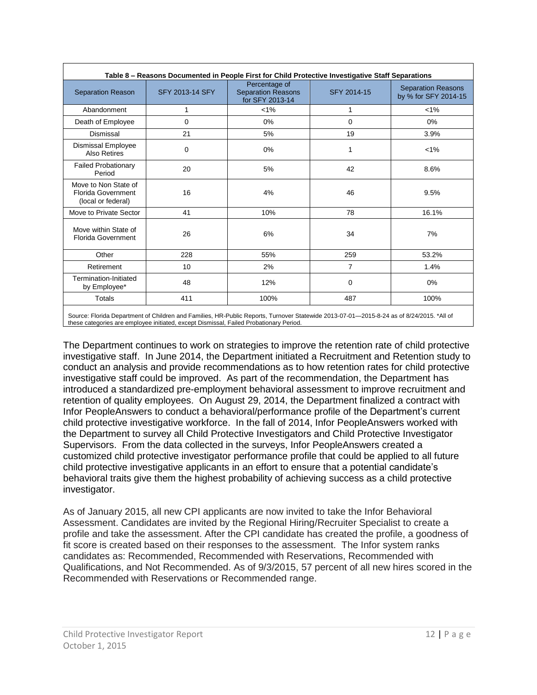| Table 8 - Reasons Documented in People First for Child Protective Investigative Staff Separations |                 |                                                               |             |                                                   |  |  |  |  |  |  |  |
|---------------------------------------------------------------------------------------------------|-----------------|---------------------------------------------------------------|-------------|---------------------------------------------------|--|--|--|--|--|--|--|
| Separation Reason                                                                                 | SFY 2013-14 SFY | Percentage of<br><b>Separation Reasons</b><br>for SFY 2013-14 | SFY 2014-15 | <b>Separation Reasons</b><br>by % for SFY 2014-15 |  |  |  |  |  |  |  |
| Abandonment                                                                                       | 1               | $< 1\%$                                                       | 1           | $< 1\%$                                           |  |  |  |  |  |  |  |
| Death of Employee                                                                                 | 0               | 0%                                                            | 0           | 0%                                                |  |  |  |  |  |  |  |
| Dismissal                                                                                         | 21              | 5%                                                            | 19          | 3.9%                                              |  |  |  |  |  |  |  |
| Dismissal Employee<br>Also Retires                                                                | 0               | 0%                                                            | 1           | $< 1\%$                                           |  |  |  |  |  |  |  |
| <b>Failed Probationary</b><br>Period                                                              | 20<br>5%        |                                                               | 42          | 8.6%                                              |  |  |  |  |  |  |  |
| Move to Non State of<br>Florida Government<br>(local or federal)                                  | 16              |                                                               | 46          | 9.5%                                              |  |  |  |  |  |  |  |
| Move to Private Sector                                                                            | 41              | 10%                                                           | 78          | 16.1%                                             |  |  |  |  |  |  |  |
| Move within State of<br>Florida Government                                                        | 26              | 6%                                                            | 34          | 7%                                                |  |  |  |  |  |  |  |
| Other                                                                                             | 228             | 55%                                                           | 259         | 53.2%                                             |  |  |  |  |  |  |  |
| Retirement                                                                                        | 10              | 2%                                                            | 7           | 1.4%                                              |  |  |  |  |  |  |  |
| Termination-Initiated<br>by Employee*                                                             | 48              | 12%                                                           | 0           | 0%                                                |  |  |  |  |  |  |  |
| Totals                                                                                            | 411             | 100%                                                          | 487         | 100%                                              |  |  |  |  |  |  |  |

Source: Florida Department of Children and Families, HR-Public Reports, Turnover Statewide 2013-07-01—2015-8-24 as of 8/24/2015. \*All of these categories are employee initiated, except Dismissal, Failed Probationary Period.

The Department continues to work on strategies to improve the retention rate of child protective investigative staff. In June 2014, the Department initiated a Recruitment and Retention study to conduct an analysis and provide recommendations as to how retention rates for child protective investigative staff could be improved. As part of the recommendation, the Department has introduced a standardized pre-employment behavioral assessment to improve recruitment and retention of quality employees. On August 29, 2014, the Department finalized a contract with Infor PeopleAnswers to conduct a behavioral/performance profile of the Department's current child protective investigative workforce. In the fall of 2014, Infor PeopleAnswers worked with the Department to survey all Child Protective Investigators and Child Protective Investigator Supervisors. From the data collected in the surveys, Infor PeopleAnswers created a customized child protective investigator performance profile that could be applied to all future child protective investigative applicants in an effort to ensure that a potential candidate's behavioral traits give them the highest probability of achieving success as a child protective investigator.

As of January 2015, all new CPI applicants are now invited to take the Infor Behavioral Assessment. Candidates are invited by the Regional Hiring/Recruiter Specialist to create a profile and take the assessment. After the CPI candidate has created the profile, a goodness of fit score is created based on their responses to the assessment. The Infor system ranks candidates as: Recommended, Recommended with Reservations, Recommended with Qualifications, and Not Recommended. As of 9/3/2015, 57 percent of all new hires scored in the Recommended with Reservations or Recommended range.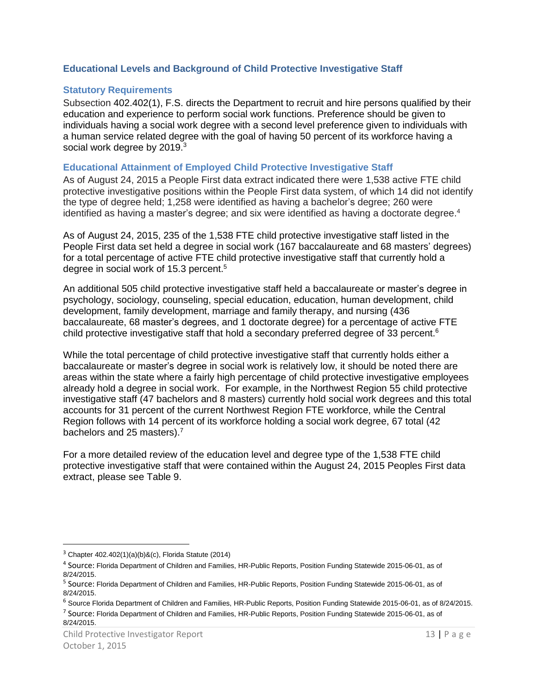#### <span id="page-12-0"></span>**Educational Levels and Background of Child Protective Investigative Staff**

#### <span id="page-12-1"></span>**Statutory Requirements**

Subsection 402.402(1), F.S. directs the Department to recruit and hire persons qualified by their education and experience to perform social work functions. Preference should be given to individuals having a social work degree with a second level preference given to individuals with a human service related degree with the goal of having 50 percent of its workforce having a social work degree by 2019.<sup>3</sup>

#### <span id="page-12-2"></span>**Educational Attainment of Employed Child Protective Investigative Staff**

As of August 24, 2015 a People First data extract indicated there were 1,538 active FTE child protective investigative positions within the People First data system, of which 14 did not identify the type of degree held; 1,258 were identified as having a bachelor's degree; 260 were identified as having a master's degree; and six were identified as having a doctorate degree.<sup>4</sup>

As of August 24, 2015, 235 of the 1,538 FTE child protective investigative staff listed in the People First data set held a degree in social work (167 baccalaureate and 68 masters' degrees) for a total percentage of active FTE child protective investigative staff that currently hold a degree in social work of 15.3 percent.<sup>5</sup>

An additional 505 child protective investigative staff held a baccalaureate or master's degree in psychology, sociology, counseling, special education, education, human development, child development, family development, marriage and family therapy, and nursing (436 baccalaureate, 68 master's degrees, and 1 doctorate degree) for a percentage of active FTE child protective investigative staff that hold a secondary preferred degree of 33 percent.<sup>6</sup>

While the total percentage of child protective investigative staff that currently holds either a baccalaureate or master's degree in social work is relatively low, it should be noted there are areas within the state where a fairly high percentage of child protective investigative employees already hold a degree in social work. For example, in the Northwest Region 55 child protective investigative staff (47 bachelors and 8 masters) currently hold social work degrees and this total accounts for 31 percent of the current Northwest Region FTE workforce, while the Central Region follows with 14 percent of its workforce holding a social work degree, 67 total (42 bachelors and 25 masters).<sup>7</sup>

For a more detailed review of the education level and degree type of the 1,538 FTE child protective investigative staff that were contained within the August 24, 2015 Peoples First data extract, please see Table 9.

 $\overline{\phantom{a}}$ 

 $3$  Chapter 402.402(1)(a)(b)&(c), Florida Statute (2014)

<sup>4</sup> Source: Florida Department of Children and Families, HR-Public Reports, Position Funding Statewide 2015-06-01, as of 8/24/2015.

<sup>&</sup>lt;sup>5</sup> Source: Florida Department of Children and Families, HR-Public Reports, Position Funding Statewide 2015-06-01, as of 8/24/2015.

 $6$  Source Florida Department of Children and Families, HR-Public Reports, Position Funding Statewide 2015-06-01, as of 8/24/2015.

<sup>&</sup>lt;sup>7</sup> Source: Florida Department of Children and Families, HR-Public Reports, Position Funding Statewide 2015-06-01, as of 8/24/2015.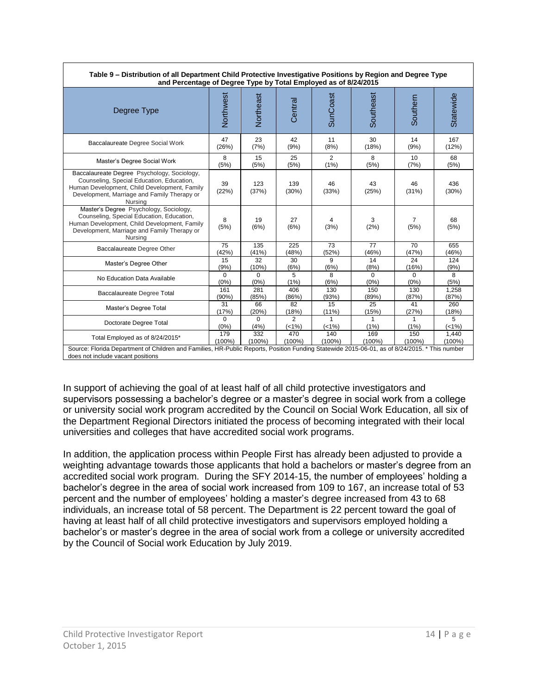| Table 9 – Distribution of all Department Child Protective Investigative Positions by Region and Degree Type<br>and Percentage of Degree Type by Total Employed as of 8/24/2015                     |                  |                  |                         |             |             |                        |               |  |  |
|----------------------------------------------------------------------------------------------------------------------------------------------------------------------------------------------------|------------------|------------------|-------------------------|-------------|-------------|------------------------|---------------|--|--|
| Degree Type                                                                                                                                                                                        | Northwest        | Northeast        | Central                 | SunCoast    | Southeast   | Southern               | Statewide     |  |  |
| Baccalaureate Degree Social Work                                                                                                                                                                   | 47               | 23               | 42                      | 11          | 30          | 14                     | 167           |  |  |
|                                                                                                                                                                                                    | (26%)            | (7%)             | (9%)                    | (8%)        | (18%)       | (9%)                   | (12%)         |  |  |
| Master's Degree Social Work                                                                                                                                                                        | 8                | 15               | 25                      | 2           | 8           | 10                     | 68            |  |  |
|                                                                                                                                                                                                    | (5%)             | (5%)             | (5%)                    | (1%)        | (5%)        | (7%)                   | (5%)          |  |  |
| Baccalaureate Degree Psychology, Sociology,<br>Counseling, Special Education, Education,<br>Human Development, Child Development, Family<br>Development, Marriage and Family Therapy or<br>Nursing | 39<br>(22%)      | 123<br>(37%)     | 139<br>(30%)            | 46<br>(33%) | 43<br>(25%) | 46<br>(31%)            | 436<br>(30%)  |  |  |
| Master's Degree Psychology, Sociology,<br>Counseling, Special Education, Education,<br>Human Development, Child Development, Family<br>Development, Marriage and Family Therapy or<br>Nursing      | 8<br>(5%)        | 19<br>(6%)       | 27<br>(6%)              | 4<br>(3%)   | 3<br>(2%)   | $\overline{7}$<br>(5%) | 68<br>(5%)    |  |  |
| Baccalaureate Degree Other                                                                                                                                                                         | 75               | 135              | 225                     | 73          | 77          | 70                     | 655           |  |  |
|                                                                                                                                                                                                    | (42%)            | (41%)            | (48%)                   | (52%)       | (46%)       | (47%)                  | (46%)         |  |  |
| Master's Degree Other                                                                                                                                                                              | 15               | 32               | 30                      | 9           | 14          | 24                     | 124           |  |  |
|                                                                                                                                                                                                    | (9% )            | (10%)            | (6%)                    | (6%)        | (8%)        | (16%)                  | (9%)          |  |  |
| No Education Data Available                                                                                                                                                                        | $\Omega$         | $\Omega$         | 5                       | 8           | $\Omega$    | $\Omega$               | 8             |  |  |
|                                                                                                                                                                                                    | (0%)             | (0%)             | (1%)                    | (6%)        | (0%)        | (0% )                  | (5%)          |  |  |
| Baccalaureate Degree Total                                                                                                                                                                         | 161              | 281              | 406                     | 130         | 150         | 130                    | 1,258         |  |  |
|                                                                                                                                                                                                    | $(90\%)$         | (85%)            | (86%)                   | (93%)       | (89%)       | (87%)                  | (87%)         |  |  |
| Master's Degree Total                                                                                                                                                                              | 31               | 66               | 82                      | 15          | 25          | 41                     | 260           |  |  |
|                                                                                                                                                                                                    | (17%)            | (20%)            | (18%)                   | $(11\%)$    | (15%)       | (27%)                  | (18%)         |  |  |
| Doctorate Degree Total                                                                                                                                                                             | $\Omega$<br>(0%) | $\Omega$<br>(4%) | $\overline{2}$<br>(<1%) | (<1%)       | 1<br>(1%)   | (1%)                   | 5<br>$(<1%$ ) |  |  |
| Total Employed as of 8/24/2015*                                                                                                                                                                    | 179              | 332              | 470                     | 140         | 169         | 150                    | 1,440         |  |  |
|                                                                                                                                                                                                    | $(100\%)$        | $(100\%)$        | $(100\%)$               | $(100\%)$   | $(100\%)$   | $(100\%)$              | $(100\%)$     |  |  |
| Source: Florida Department of Children and Families, HR-Public Reports, Position Funding Statewide 2015-06-01, as of 8/24/2015. * This number<br>does not include vacant positions                 |                  |                  |                         |             |             |                        |               |  |  |

In support of achieving the goal of at least half of all child protective investigators and supervisors possessing a bachelor's degree or a master's degree in social work from a college or university social work program accredited by the Council on Social Work Education, all six of the Department Regional Directors initiated the process of becoming integrated with their local universities and colleges that have accredited social work programs.

In addition, the application process within People First has already been adjusted to provide a weighting advantage towards those applicants that hold a bachelors or master's degree from an accredited social work program. During the SFY 2014-15, the number of employees' holding a bachelor's degree in the area of social work increased from 109 to 167, an increase total of 53 percent and the number of employees' holding a master's degree increased from 43 to 68 individuals, an increase total of 58 percent. The Department is 22 percent toward the goal of having at least half of all child protective investigators and supervisors employed holding a bachelor's or master's degree in the area of social work from a college or university accredited by the Council of Social work Education by July 2019.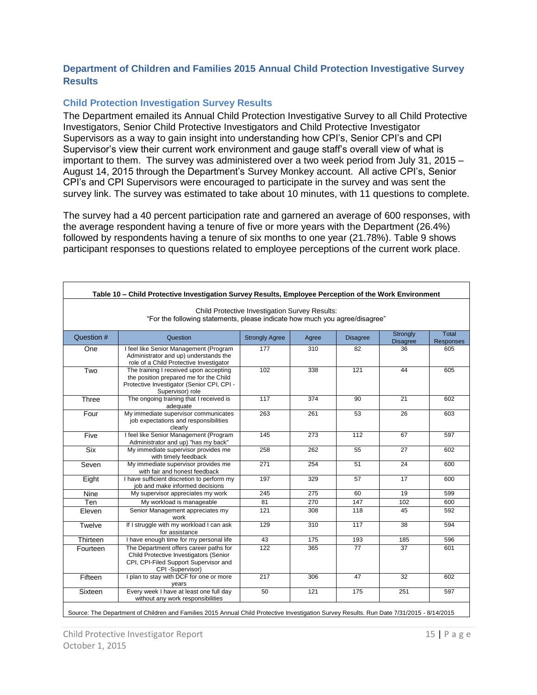## <span id="page-14-0"></span>**Department of Children and Families 2015 Annual Child Protection Investigative Survey Results**

#### <span id="page-14-1"></span>**Child Protection Investigation Survey Results**

The Department emailed its Annual Child Protection Investigative Survey to all Child Protective Investigators, Senior Child Protective Investigators and Child Protective Investigator Supervisors as a way to gain insight into understanding how CPI's, Senior CPI's and CPI Supervisor's view their current work environment and gauge staff's overall view of what is important to them. The survey was administered over a two week period from July 31, 2015 – August 14, 2015 through the Department's Survey Monkey account. All active CPI's, Senior CPI's and CPI Supervisors were encouraged to participate in the survey and was sent the survey link. The survey was estimated to take about 10 minutes, with 11 questions to complete.

The survey had a 40 percent participation rate and garnered an average of 600 responses, with the average respondent having a tenure of five or more years with the Department (26.4%) followed by respondents having a tenure of six months to one year (21.78%). Table 9 shows participant responses to questions related to employee perceptions of the current work place.

| Child Protective Investigation Survey Results:<br>"For the following statements, please indicate how much you agree/disagree" |                                                                                                                                                    |                       |       |                 |                             |                           |  |  |  |  |  |
|-------------------------------------------------------------------------------------------------------------------------------|----------------------------------------------------------------------------------------------------------------------------------------------------|-----------------------|-------|-----------------|-----------------------------|---------------------------|--|--|--|--|--|
| Question #                                                                                                                    | Question                                                                                                                                           | <b>Strongly Agree</b> | Agree | <b>Disagree</b> | Strongly<br><b>Disagree</b> | Total<br><b>Responses</b> |  |  |  |  |  |
| One                                                                                                                           | I feel like Senior Management (Program<br>Administrator and up) understands the<br>role of a Child Protective Investigator                         | 177                   | 310   | 82              | 36                          | 605                       |  |  |  |  |  |
| Two                                                                                                                           | The training I received upon accepting<br>the position prepared me for the Child<br>Protective Investigator (Senior CPI, CPI -<br>Supervisor) role | 102                   | 338   | 121             | 44                          | 605                       |  |  |  |  |  |
| Three                                                                                                                         | The ongoing training that I received is<br>adequate                                                                                                | 117                   | 374   | 90              | 21                          | 602                       |  |  |  |  |  |
| Four                                                                                                                          | My immediate supervisor communicates<br>job expectations and responsibilities<br>clearly                                                           | 263                   | 261   | 53              | 26                          | 603                       |  |  |  |  |  |
| Five                                                                                                                          | I feel like Senior Management (Program<br>Administrator and up) "has my back"                                                                      | 145                   | 273   | 112             | 67                          | 597                       |  |  |  |  |  |
| <b>Six</b>                                                                                                                    | My immediate supervisor provides me<br>with timely feedback                                                                                        | 258                   | 262   | 55              | 27                          | 602                       |  |  |  |  |  |
| Seven                                                                                                                         | My immediate supervisor provides me<br>with fair and honest feedback                                                                               | 271                   | 254   | 51              | 24                          | 600                       |  |  |  |  |  |
| Eight                                                                                                                         | I have sufficient discretion to perform my<br>job and make informed decisions                                                                      | 197                   | 329   | 57              | $\overline{17}$             | 600                       |  |  |  |  |  |
| Nine                                                                                                                          | My supervisor appreciates my work                                                                                                                  | 245                   | 275   | 60              | 19                          | 599                       |  |  |  |  |  |
| Ten                                                                                                                           | My workload is manageable                                                                                                                          | 81                    | 270   | 147             | 102                         | 600                       |  |  |  |  |  |
| Eleven                                                                                                                        | Senior Management appreciates my<br>work                                                                                                           | 121                   | 308   | 118             | 45                          | 592                       |  |  |  |  |  |
| Twelve                                                                                                                        | If I struggle with my workload I can ask<br>for assistance                                                                                         | 129                   | 310   | 117             | 38                          | 594                       |  |  |  |  |  |
| Thirteen                                                                                                                      | I have enough time for my personal life                                                                                                            | 43                    | 175   | 193             | 185                         | 596                       |  |  |  |  |  |
| Fourteen                                                                                                                      | The Department offers career paths for<br>Child Protective Investigators (Senior<br>CPI, CPI-Filed Support Supervisor and<br>CPI-Supervisor)       | 122                   | 365   | $\overline{77}$ | $\overline{37}$             | 601                       |  |  |  |  |  |
| Fifteen                                                                                                                       | I plan to stay with DCF for one or more<br>years                                                                                                   | 217                   | 306   | 47              | 32                          | 602                       |  |  |  |  |  |
| Sixteen                                                                                                                       | Every week I have at least one full day<br>without any work responsibilities                                                                       | 50                    | 121   | 175             | 251                         | 597                       |  |  |  |  |  |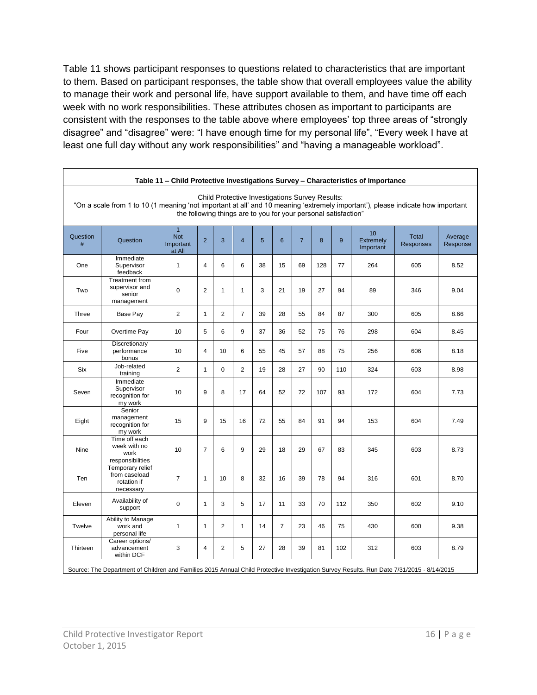Table 11 shows participant responses to questions related to characteristics that are important to them. Based on participant responses, the table show that overall employees value the ability to manage their work and personal life, have support available to them, and have time off each week with no work responsibilities. These attributes chosen as important to participants are consistent with the responses to the table above where employees' top three areas of "strongly disagree" and "disagree" were: "I have enough time for my personal life", "Every week I have at least one full day without any work responsibilities" and "having a manageable workload".

|               | Table 11 - Child Protective Investigations Survey - Characteristics of Importance                                                                                                                                                                     |                                                     |                |                |                |    |                |                |     |     |                                     |                           |                     |
|---------------|-------------------------------------------------------------------------------------------------------------------------------------------------------------------------------------------------------------------------------------------------------|-----------------------------------------------------|----------------|----------------|----------------|----|----------------|----------------|-----|-----|-------------------------------------|---------------------------|---------------------|
|               | Child Protective Investigations Survey Results:<br>"On a scale from 1 to 10 (1 meaning 'not important at all' and 10 meaning 'extremely important'), please indicate how important<br>the following things are to you for your personal satisfaction" |                                                     |                |                |                |    |                |                |     |     |                                     |                           |                     |
| Question<br># | Question                                                                                                                                                                                                                                              | $\overline{1}$<br><b>Not</b><br>Important<br>at All | $\overline{2}$ | 3              | $\overline{4}$ | 5  | 6              | $\overline{7}$ | 8   | 9   | 10<br><b>Extremely</b><br>Important | Total<br><b>Responses</b> | Average<br>Response |
| One           | Immediate<br>Supervisor<br>feedback                                                                                                                                                                                                                   | $\mathbf{1}$                                        | $\overline{4}$ | 6              | 6              | 38 | 15             | 69             | 128 | 77  | 264                                 | 605                       | 8.52                |
| Two           | Treatment from<br>supervisor and<br>senior<br>management                                                                                                                                                                                              | $\mathbf 0$                                         | $\overline{2}$ | $\mathbf{1}$   | $\mathbf{1}$   | 3  | 21             | 19             | 27  | 94  | 89                                  | 346                       | 9.04                |
| Three         | Base Pay                                                                                                                                                                                                                                              | $\overline{2}$                                      | $\mathbf{1}$   | $\overline{2}$ | $\overline{7}$ | 39 | 28             | 55             | 84  | 87  | 300                                 | 605                       | 8.66                |
| Four          | Overtime Pay                                                                                                                                                                                                                                          | 10                                                  | 5              | 6              | 9              | 37 | 36             | 52             | 75  | 76  | 298                                 | 604                       | 8.45                |
| Five          | Discretionary<br>performance<br>bonus                                                                                                                                                                                                                 | 10                                                  | $\overline{4}$ | 10             | 6              | 55 | 45             | 57             | 88  | 75  | 256                                 | 606                       | 8.18                |
| Six           | Job-related<br>training                                                                                                                                                                                                                               | $\overline{2}$                                      | $\mathbf{1}$   | 0              | $\overline{2}$ | 19 | 28             | 27             | 90  | 110 | 324                                 | 603                       | 8.98                |
| Seven         | Immediate<br>Supervisor<br>recognition for<br>my work                                                                                                                                                                                                 | 10                                                  | 9              | 8              | 17             | 64 | 52             | 72             | 107 | 93  | 172                                 | 604                       | 7.73                |
| Eight         | Senior<br>management<br>recognition for<br>my work                                                                                                                                                                                                    | 15                                                  | 9              | 15             | 16             | 72 | 55             | 84             | 91  | 94  | 153                                 | 604                       | 7.49                |
| Nine          | Time off each<br>week with no<br>work<br>responsibilities                                                                                                                                                                                             | 10                                                  | $\overline{7}$ | 6              | 9              | 29 | 18             | 29             | 67  | 83  | 345                                 | 603                       | 8.73                |
| <b>Ten</b>    | Temporary relief<br>from caseload<br>rotation if<br>necessary                                                                                                                                                                                         | $\overline{7}$                                      | $\mathbf{1}$   | 10             | 8              | 32 | 16             | 39             | 78  | 94  | 316                                 | 601                       | 8.70                |
| Eleven        | Availability of<br>support                                                                                                                                                                                                                            | $\mathbf 0$                                         | $\mathbf{1}$   | 3              | 5              | 17 | 11             | 33             | 70  | 112 | 350                                 | 602                       | 9.10                |
| Twelve        | Ability to Manage<br>work and<br>personal life                                                                                                                                                                                                        | $\mathbf{1}$                                        | $\mathbf{1}$   | $\overline{2}$ | $\mathbf{1}$   | 14 | $\overline{7}$ | 23             | 46  | 75  | 430                                 | 600                       | 9.38                |
| Thirteen      | Career options/<br>advancement<br>within DCF                                                                                                                                                                                                          | 3                                                   | 4              | $\overline{2}$ | 5              | 27 | 28             | 39             | 81  | 102 | 312                                 | 603                       | 8.79                |

Source: The Department of Children and Families 2015 Annual Child Protective Investigation Survey Results. Run Date 7/31/2015 - 8/14/2015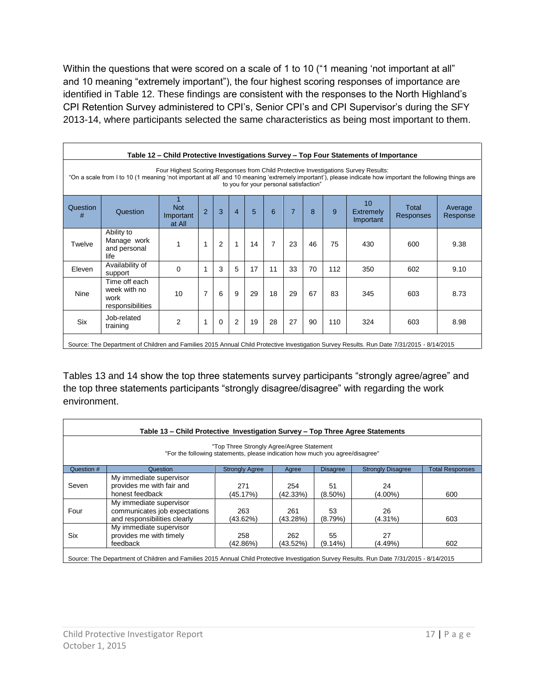Within the questions that were scored on a scale of 1 to 10 ("1 meaning 'not important at all" and 10 meaning "extremely important"), the four highest scoring responses of importance are identified in Table 12. These findings are consistent with the responses to the North Highland's CPI Retention Survey administered to CPI's, Senior CPI's and CPI Supervisor's during the SFY 2013-14, where participants selected the same characteristics as being most important to them.

| Table 12 – Child Protective Investigations Survey – Top Four Statements of Importance                                                                                                                                                                                                     |                                                           |                                   |                |                |                |    |                |                |    |     |                                           |                           |                     |
|-------------------------------------------------------------------------------------------------------------------------------------------------------------------------------------------------------------------------------------------------------------------------------------------|-----------------------------------------------------------|-----------------------------------|----------------|----------------|----------------|----|----------------|----------------|----|-----|-------------------------------------------|---------------------------|---------------------|
| Four Highest Scoring Responses from Child Protective Investigations Survey Results:<br>"On a scale from I to 10 (1 meaning 'not important at all' and 10 meaning 'extremely important'), please indicate how important the following things are<br>to you for your personal satisfaction" |                                                           |                                   |                |                |                |    |                |                |    |     |                                           |                           |                     |
| Question<br>#                                                                                                                                                                                                                                                                             | Question                                                  | <b>Not</b><br>Important<br>at All | $\overline{2}$ | 3              | $\overline{4}$ | 5  | 6              | $\overline{7}$ | 8  | 9   | 10 <sup>1</sup><br>Extremely<br>Important | Total<br><b>Responses</b> | Average<br>Response |
| Twelve                                                                                                                                                                                                                                                                                    | Ability to<br>Manage work<br>and personal<br>life         | 1                                 | 1              | $\overline{2}$ | 1              | 14 | $\overline{7}$ | 23             | 46 | 75  | 430                                       | 600                       | 9.38                |
| Eleven                                                                                                                                                                                                                                                                                    | Availability of<br>support                                | $\Omega$                          | 1              | 3              | 5              | 17 | 11             | 33             | 70 | 112 | 350                                       | 602                       | 9.10                |
| <b>Nine</b>                                                                                                                                                                                                                                                                               | Time off each<br>week with no<br>work<br>responsibilities | 10                                | $\overline{7}$ | 6              | 9              | 29 | 18             | 29             | 67 | 83  | 345                                       | 603                       | 8.73                |
| <b>Six</b>                                                                                                                                                                                                                                                                                | Job-related<br>training                                   | $\overline{2}$                    | 1              | 0              | $\overline{2}$ | 19 | 28             | 27             | 90 | 110 | 324                                       | 603                       | 8.98                |
| Source: The Department of Children and Families 2015 Annual Child Protective Investigation Survey Results. Run Date 7/31/2015 - 8/14/2015                                                                                                                                                 |                                                           |                                   |                |                |                |    |                |                |    |     |                                           |                           |                     |

Tables 13 and 14 show the top three statements survey participants "strongly agree/agree" and the top three statements participants "strongly disagree/disagree" with regarding the work environment.

| "Top Three Strongly Agree/Agree Statement<br>"For the following statements, please indication how much you agree/disagree" |                                                                                          |                       |                 |                  |                          |                        |  |
|----------------------------------------------------------------------------------------------------------------------------|------------------------------------------------------------------------------------------|-----------------------|-----------------|------------------|--------------------------|------------------------|--|
| Question #                                                                                                                 | Question                                                                                 | <b>Strongly Agree</b> | Agree           | <b>Disagree</b>  | <b>Strongly Disagree</b> | <b>Total Responses</b> |  |
| Seven                                                                                                                      | My immediate supervisor<br>provides me with fair and<br>honest feedback                  | 271<br>(45.17%)       | 254<br>(42.33%) | 51<br>$(8.50\%)$ | 24<br>$(4.00\%)$         | 600                    |  |
| Four                                                                                                                       | My immediate supervisor<br>communicates job expectations<br>and responsibilities clearly | 263<br>(43.62%)       | 261<br>(43.28%) | 53<br>(8.79%)    | 26<br>(4.31%)            | 603                    |  |
| <b>Six</b>                                                                                                                 | My immediate supervisor<br>provides me with timely<br>feedback                           | 258<br>(42.86%)       | 262<br>(43.52%) | 55<br>$(9.14\%)$ | 27<br>(4.49%)            | 602                    |  |